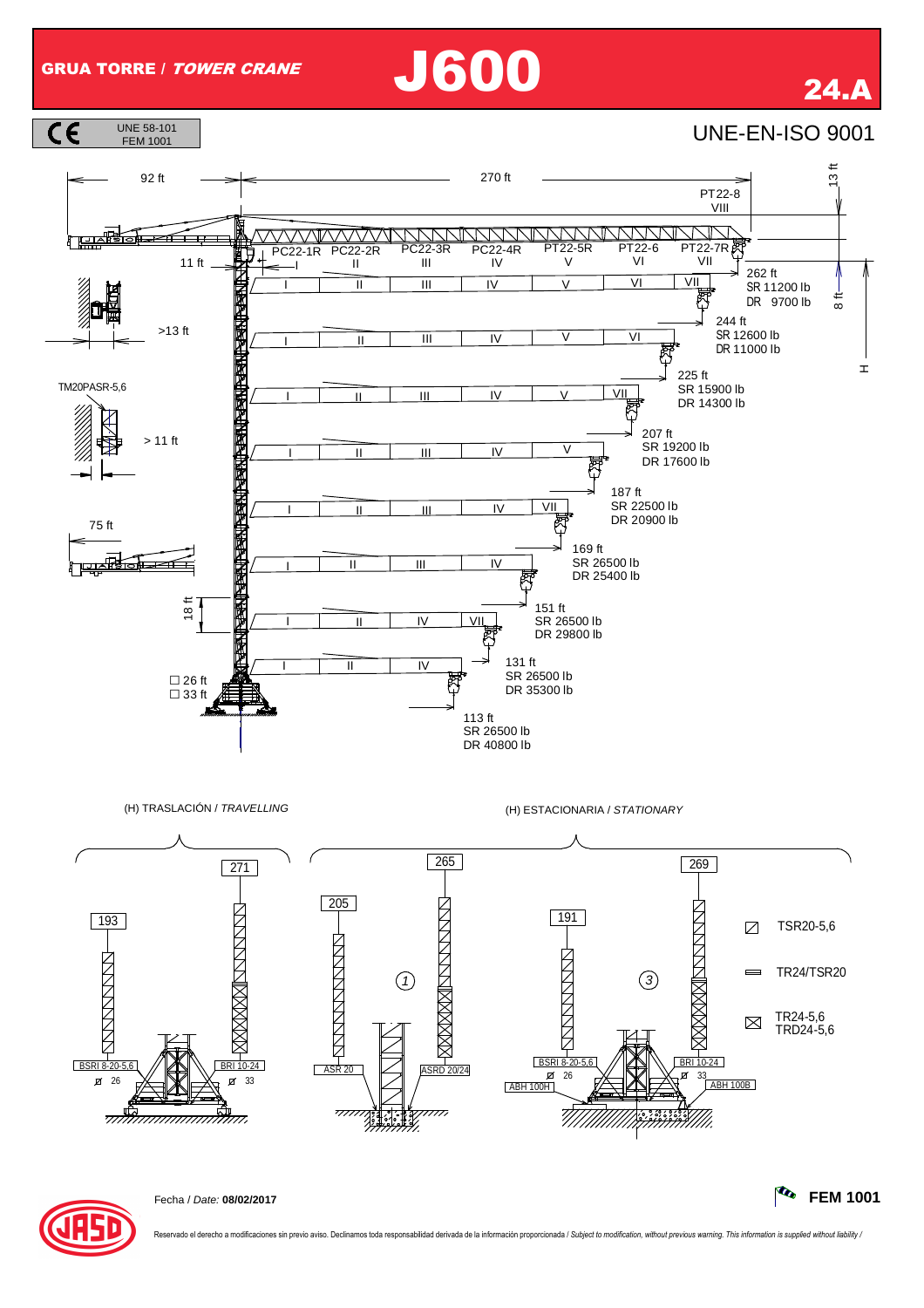## GRUA TORRE / TOWER CRANE J600 24.A





Reservado el derecho a modificaciones sin previo aviso. Declinamos toda responsabilidad derivada de la información proporcionada / Subject to modification, without previous warning. This information is supplied without lia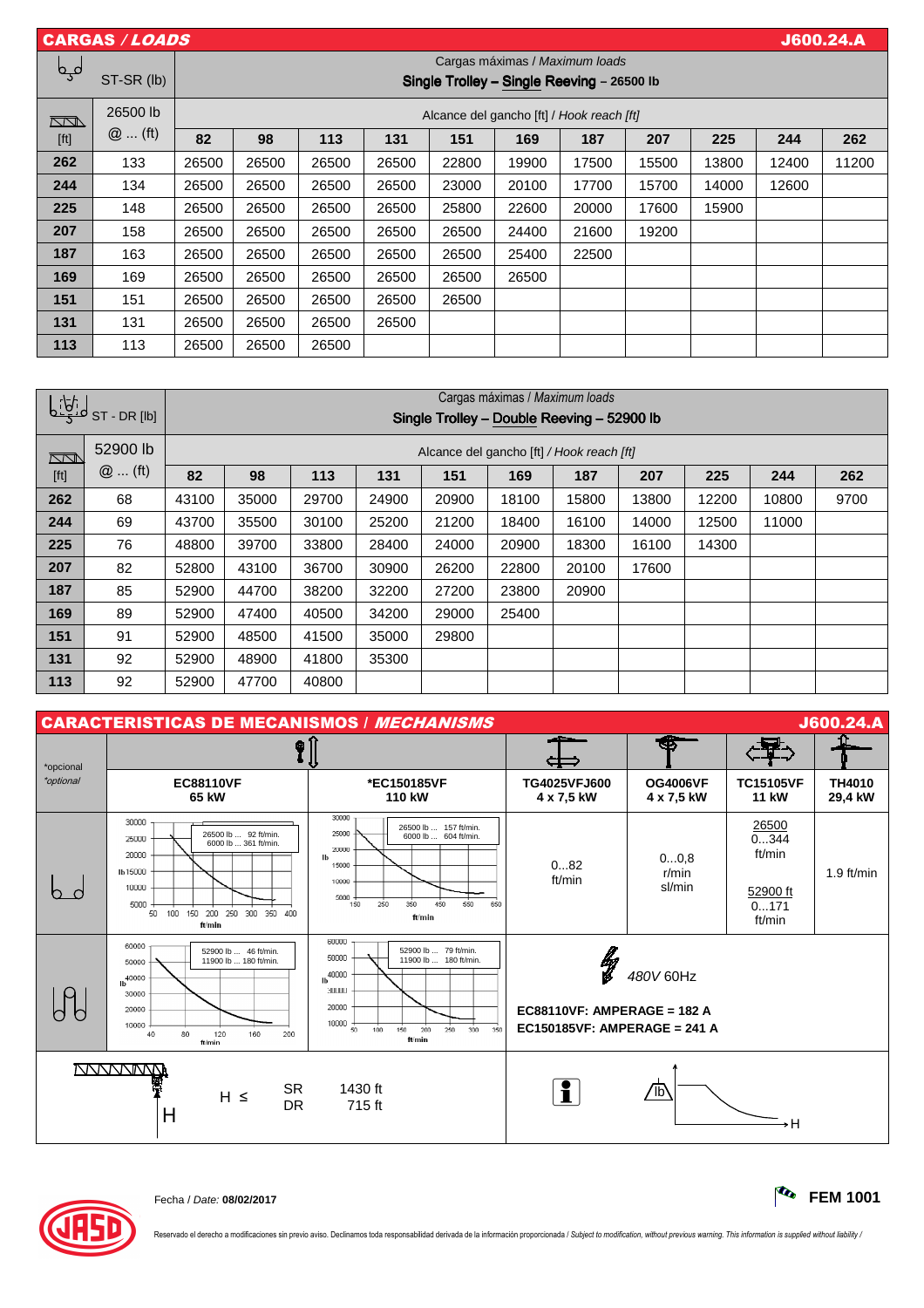| <b>CARGAS / LOADS</b><br><b>J600.24.A</b> |            |                                           |                                                                              |       |       |       |       |       |       |       |       |       |
|-------------------------------------------|------------|-------------------------------------------|------------------------------------------------------------------------------|-------|-------|-------|-------|-------|-------|-------|-------|-------|
| لمہا                                      | ST-SR (lb) |                                           | Cargas máximas / Maximum loads<br>Single Trolley - Single Reeving - 26500 lb |       |       |       |       |       |       |       |       |       |
| $\Box$                                    | 26500 lb   | Alcance del gancho [ft] / Hook reach [ft] |                                                                              |       |       |       |       |       |       |       |       |       |
| [ft]                                      | $@$ (ft)   | 82                                        | 98                                                                           | 113   | 131   | 151   | 169   | 187   | 207   | 225   | 244   | 262   |
| 262                                       | 133        | 26500                                     | 26500                                                                        | 26500 | 26500 | 22800 | 19900 | 17500 | 15500 | 13800 | 12400 | 11200 |
| 244                                       | 134        | 26500                                     | 26500                                                                        | 26500 | 26500 | 23000 | 20100 | 17700 | 15700 | 14000 | 12600 |       |
| 225                                       | 148        | 26500                                     | 26500                                                                        | 26500 | 26500 | 25800 | 22600 | 20000 | 17600 | 15900 |       |       |
| 207                                       | 158        | 26500                                     | 26500                                                                        | 26500 | 26500 | 26500 | 24400 | 21600 | 19200 |       |       |       |
| 187                                       | 163        | 26500                                     | 26500                                                                        | 26500 | 26500 | 26500 | 25400 | 22500 |       |       |       |       |
| 169                                       | 169        | 26500                                     | 26500                                                                        | 26500 | 26500 | 26500 | 26500 |       |       |       |       |       |
| 151                                       | 151        | 26500                                     | 26500                                                                        | 26500 | 26500 | 26500 |       |       |       |       |       |       |
| 131                                       | 131        | 26500                                     | 26500                                                                        | 26500 | 26500 |       |       |       |       |       |       |       |
| 113                                       | 113        | 26500                                     | 26500                                                                        | 26500 |       |       |       |       |       |       |       |       |

| لمنافينا |            | Cargas máximas / Maximum loads             |                                           |       |       |       |       |       |       |       |       |      |
|----------|------------|--------------------------------------------|-------------------------------------------|-------|-------|-------|-------|-------|-------|-------|-------|------|
|          | ST-DR [lb] | Single Trolley - Double Reeving - 52900 lb |                                           |       |       |       |       |       |       |       |       |      |
| Į        | 52900 lb   |                                            | Alcance del gancho [ft] / Hook reach [ft] |       |       |       |       |       |       |       |       |      |
| [ft]     | $@$ (ft)   | 82                                         | 98                                        | 113   | 131   | 151   | 169   | 187   | 207   | 225   | 244   | 262  |
| 262      | 68         | 43100                                      | 35000                                     | 29700 | 24900 | 20900 | 18100 | 15800 | 13800 | 12200 | 10800 | 9700 |
| 244      | 69         | 43700                                      | 35500                                     | 30100 | 25200 | 21200 | 18400 | 16100 | 14000 | 12500 | 11000 |      |
| 225      | 76         | 48800                                      | 39700                                     | 33800 | 28400 | 24000 | 20900 | 18300 | 16100 | 14300 |       |      |
| 207      | 82         | 52800                                      | 43100                                     | 36700 | 30900 | 26200 | 22800 | 20100 | 17600 |       |       |      |
| 187      | 85         | 52900                                      | 44700                                     | 38200 | 32200 | 27200 | 23800 | 20900 | –     |       |       |      |
| 169      | 89         | 52900                                      | 47400                                     | 40500 | 34200 | 29000 | 25400 |       |       |       |       |      |
| 151      | 91         | 52900                                      | 48500                                     | 41500 | 35000 | 29800 |       |       |       |       |       |      |
| 131      | 92         | 52900                                      | 48900                                     | 41800 | 35300 |       |       |       |       |       |       |      |
| 113      | 92         | 52900                                      | 47700                                     | 40800 |       |       |       |       |       |       |       |      |

|           | <b>CARACTERISTICAS DE MECANISMOS / MECHANISMS</b><br>J600.24.A                                                                                               |                                                                                                                                                                                  |                                                                                       |                         |                                                       |                          |  |  |  |  |
|-----------|--------------------------------------------------------------------------------------------------------------------------------------------------------------|----------------------------------------------------------------------------------------------------------------------------------------------------------------------------------|---------------------------------------------------------------------------------------|-------------------------|-------------------------------------------------------|--------------------------|--|--|--|--|
| *opcional | 0                                                                                                                                                            |                                                                                                                                                                                  |                                                                                       |                         |                                                       |                          |  |  |  |  |
| *optional | <b>EC88110VF</b><br>65 kW                                                                                                                                    | *EC150185VF<br>110 kW                                                                                                                                                            | TG4025VFJ600<br><b>OG4006VF</b><br>4 x 7,5 kW<br>4 x 7,5 kW                           |                         | <b>TC15105VF</b><br><b>11 kW</b>                      | <b>TH4010</b><br>29,4 kW |  |  |  |  |
|           | 30000<br>26500 lb  92 ft/min.<br>25000<br>6000 lb  361 ft/min.<br>20000<br>Ib 15000<br>10000<br>5000<br>150 200 250 300 350 400<br>50 100<br>ft/min          | 30000<br>26500 lb  157 ft/min.<br>25000<br>6000 lb  604 ft/min.<br>20000<br>lb<br>15000<br>10000<br>5000<br>250<br>350<br>150<br>450<br>550<br>650<br>ft/min                     | 082<br>ft/min                                                                         | 00,8<br>r/min<br>sl/min | 26500<br>0344<br>ft/min<br>52900 ft<br>0171<br>ft/min | $1.9$ ft/min             |  |  |  |  |
|           | 60000<br>52900 lb  46 ft/min.<br>11900 lb  180 ft/min.<br>50000<br>Ib <sup>40000</sup><br>30000<br>20000<br>10000<br>80<br>120<br>160<br>40<br>200<br>ft/min | 60000<br>52900 lb  79 ft/min.<br>50000<br>11900 lb  180 ft/min.<br>$h^{40000}$<br>30000<br>20000<br>10000<br>$\overline{50}$<br>350<br>100<br>250<br>150<br>200<br>300<br>ft/min | <b>LARGE</b><br>$EC88110VF$ : AMPERAGE = 182 A<br><b>EC150185VF: AMPERAGE = 241 A</b> | 480V 60Hz               |                                                       |                          |  |  |  |  |
|           | <b>NNNNNNN</b><br><b>SR</b><br>$H \leq$<br><b>DR</b><br>H                                                                                                    | 1430 ft<br>715 ft                                                                                                                                                                | i                                                                                     | /lb                     | ۰H                                                    |                          |  |  |  |  |



Fecha / Date: **08/02/2017 FEM 1001**

Reservado el derecho a modificaciones sin previo aviso. Declinamos toda responsabilidad derivada de la información proporcionada / Subject to modification, without previous warning. This information is supplied without lia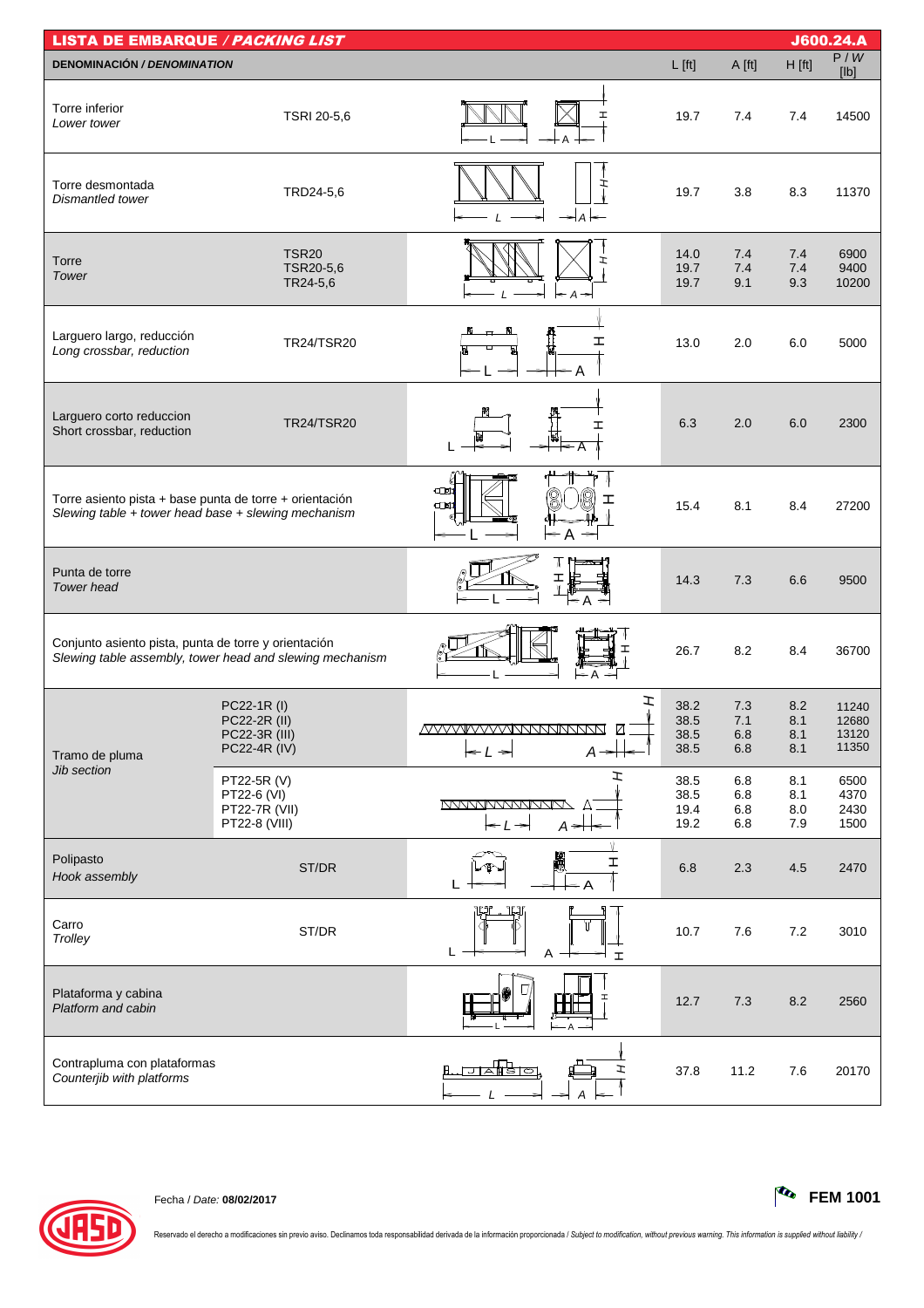| <b>LISTA DE EMBARQUE / PACKING LIST</b>                                                                        |                                                              |                                                                                             |                              |                          |                          | J600.24.A                        |
|----------------------------------------------------------------------------------------------------------------|--------------------------------------------------------------|---------------------------------------------------------------------------------------------|------------------------------|--------------------------|--------------------------|----------------------------------|
| <b>DENOMINACIÓN / DENOMINATION</b>                                                                             |                                                              |                                                                                             | $L$ [ft]                     | A [ft]                   | $H$ [ft]                 | P/W<br>[lb]                      |
| Torre inferior<br>Lower tower                                                                                  | TSRI 20-5,6                                                  | I                                                                                           | 19.7                         | 7.4                      | 7.4                      | 14500                            |
| Torre desmontada<br>Dismantled tower                                                                           | TRD24-5,6                                                    | ェ<br>$\Rightarrow$ A                                                                        | 19.7                         | 3.8                      | 8.3                      | 11370                            |
| Torre<br>Tower                                                                                                 | <b>TSR20</b><br>TSR20-5,6<br>TR24-5,6                        | $\leftarrow$ A<br>⇒                                                                         | 14.0<br>19.7<br>19.7         | 7.4<br>7.4<br>9.1        | 7.4<br>7.4<br>9.3        | 6900<br>9400<br>10200            |
| Larguero largo, reducción<br>Long crossbar, reduction                                                          | TR24/TSR20                                                   | ェ                                                                                           | 13.0                         | 2.0                      | 6.0                      | 5000                             |
| Larguero corto reduccion<br>Short crossbar, reduction                                                          | <b>TR24/TSR20</b>                                            | I                                                                                           | 6.3                          | 2.0                      | 6.0                      | 2300                             |
| Torre asiento pista + base punta de torre + orientación<br>Slewing table + tower head base + slewing mechanism |                                                              | $\square$<br>ェ<br>$\square$<br>$\leq$ A $\Rightarrow$                                       | 15.4                         | 8.1                      | 8.4                      | 27200                            |
| Punta de torre<br><b>Tower</b> head                                                                            |                                                              | < A                                                                                         | 14.3                         | 7.3                      | 6.6                      | 9500                             |
| Conjunto asiento pista, punta de torre y orientación                                                           | Slewing table assembly, tower head and slewing mechanism     | ← A                                                                                         | 26.7                         | 8.2                      | 8.4                      | 36700                            |
| Tramo de pluma                                                                                                 | PC22-1R (I)<br>PC22-2R (II)<br>PC22-3R (III)<br>PC22-4R (IV) | I<br><u>MVVVVVVVVNNNNNNN</u><br>☑<br>$\leftarrow$ $\prime$ $\rightarrow$<br>$A \rightarrow$ | 38.2<br>38.5<br>38.5<br>38.5 | 7.3<br>7.1<br>6.8<br>6.8 | 8.2<br>8.1<br>8.1<br>8.1 | 11240<br>12680<br>13120<br>11350 |
| Jib section                                                                                                    | PT22-5R (V)<br>PT22-6 (VI)<br>PT22-7R (VII)<br>PT22-8 (VIII) | エ<br><u>MAMAMMANAN</u> A<br>$A \neq$<br>$\leftarrow$ $\leftarrow$ $\leftarrow$              | 38.5<br>38.5<br>19.4<br>19.2 | 6.8<br>6.8<br>6.8<br>6.8 | 8.1<br>8.1<br>8.0<br>7.9 | 6500<br>4370<br>2430<br>1500     |
| Polipasto<br>Hook assembly                                                                                     | ST/DR                                                        | H<br>I                                                                                      | 6.8                          | 2.3                      | 4.5                      | 2470                             |
| Carro<br>Trolley                                                                                               | ST/DR                                                        | Ļ<br>L<br>Α<br><b>I</b>                                                                     | 10.7                         | 7.6                      | 7.2                      | 3010                             |
| Plataforma y cabina<br>Platform and cabin                                                                      |                                                              |                                                                                             | 12.7                         | 7.3                      | 8.2                      | 2560                             |
| Contrapluma con plataformas<br>Counterjib with platforms                                                       |                                                              | ਸਨੀਭਾਕ<br>エ                                                                                 | 37.8                         | 11.2                     | 7.6                      | 20170                            |



Fecha / Date: **08/02/2017 FEM 1001**